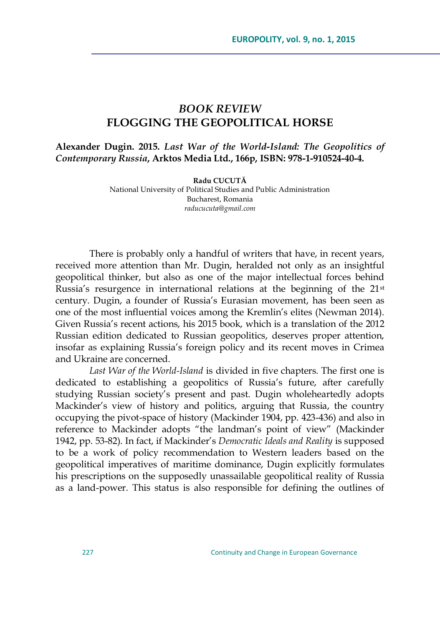## *BOOK REVIEW* **FLOGGING THE GEOPOLITICAL HORSE**

**Alexander Dugin. 2015.** *Last War of the World-Island: The Geopolitics of Contemporary Russia***, Arktos Media Ltd., 166p, ISBN: 978-1-910524-40-4.**

> **Radu CUCUTĂ** National University of Political Studies and Public Administration Bucharest, Romania *[raducucuta@gmail.com](mailto:mihai.caradaica@gmail.com)*

There is probably only a handful of writers that have, in recent years, received more attention than Mr. Dugin, heralded not only as an insightful geopolitical thinker, but also as one of the major intellectual forces behind Russia's resurgence in international relations at the beginning of the 21st century. Dugin, a founder of Russia's Eurasian movement, has been seen as one of the most influential voices among the Kremlin's elites (Newman 2014). Given Russia's recent actions, his 2015 book, which is a translation of the 2012 Russian edition dedicated to Russian geopolitics, deserves proper attention, insofar as explaining Russia's foreign policy and its recent moves in Crimea and Ukraine are concerned.

*Last War of the World-Island* is divided in five chapters. The first one is dedicated to establishing a geopolitics of Russia's future, after carefully studying Russian society's present and past. Dugin wholeheartedly adopts Mackinder's view of history and politics, arguing that Russia, the country occupying the pivot-space of history (Mackinder 1904, pp. 423-436) and also in reference to Mackinder adopts "the landman's point of view" (Mackinder 1942, pp. 53-82). In fact, if Mackinder's *Democratic Ideals and Reality* is supposed to be a work of policy recommendation to Western leaders based on the geopolitical imperatives of maritime dominance, Dugin explicitly formulates his prescriptions on the supposedly unassailable geopolitical reality of Russia as a land-power. This status is also responsible for defining the outlines of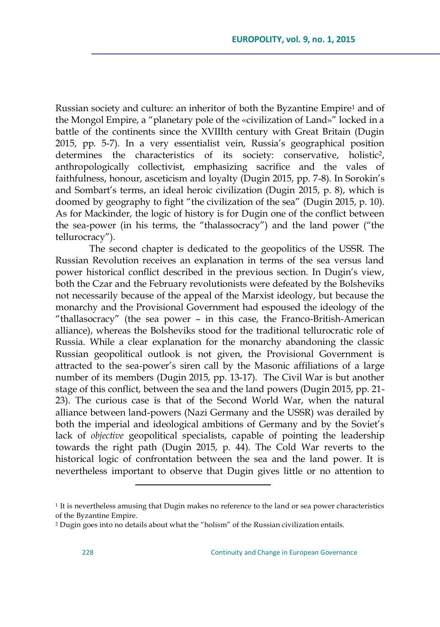Russian society and culture: an inheritor of both the Byzantine Empire<sup>1</sup> and of the Mongol Empire, a "planetary pole of the «civilization of Land»" locked in a battle of the continents since the XVIIIth century with Great Britain (Dugin 2015, pp. 5-7). In a very essentialist vein, Russia's geographical position determines the characteristics of its society: conservative, holistic<sup>2</sup>, anthropologically collectivist, emphasizing sacrifice and the vales of faithfulness, honour, asceticism and loyalty (Dugin 2015, pp. 7-8). In Sorokin's and Sombart's terms, an ideal heroic civilization (Dugin 2015, p. 8), which is doomed by geography to fight "the civilization of the sea" (Dugin 2015, p. 10). As for Mackinder, the logic of history is for Dugin one of the conflict between the sea-power (in his terms, the "thalassocracy") and the land power ("the tellurocracy").

The second chapter is dedicated to the geopolitics of the USSR. The Russian Revolution receives an explanation in terms of the sea versus land power historical conflict described in the previous section. In Dugin's view, both the Czar and the February revolutionists were defeated by the Bolsheviks not necessarily because of the appeal of the Marxist ideology, but because the monarchy and the Provisional Government had espoused the ideology of the ―thallasocracy‖ (the sea power – in this case, the Franco-British-American alliance), whereas the Bolsheviks stood for the traditional tellurocratic role of Russia. While a clear explanation for the monarchy abandoning the classic Russian geopolitical outlook is not given, the Provisional Government is attracted to the sea-power's siren call by the Masonic affiliations of a large number of its members (Dugin 2015, pp. 13-17). The Civil War is but another stage of this conflict, between the sea and the land powers (Dugin 2015, pp. 21- 23). The curious case is that of the Second World War, when the natural alliance between land-powers (Nazi Germany and the USSR) was derailed by both the imperial and ideological ambitions of Germany and by the Soviet's lack of *objective* geopolitical specialists, capable of pointing the leadership towards the right path (Dugin 2015, p. 44). The Cold War reverts to the historical logic of confrontation between the sea and the land power. It is nevertheless important to observe that Dugin gives little or no attention to

 $\overline{a}$ 

<sup>&</sup>lt;sup>1</sup> It is nevertheless amusing that Dugin makes no reference to the land or sea power characteristics of the Byzantine Empire.

 $2$  Dugin goes into no details about what the "holism" of the Russian civilization entails.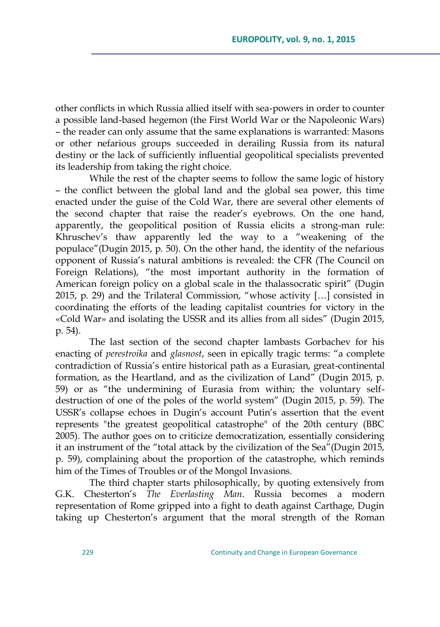other conflicts in which Russia allied itself with sea-powers in order to counter a possible land-based hegemon (the First World War or the Napoleonic Wars) – the reader can only assume that the same explanations is warranted: Masons or other nefarious groups succeeded in derailing Russia from its natural destiny or the lack of sufficiently influential geopolitical specialists prevented its leadership from taking the right choice.

While the rest of the chapter seems to follow the same logic of history – the conflict between the global land and the global sea power, this time enacted under the guise of the Cold War, there are several other elements of the second chapter that raise the reader's eyebrows. On the one hand, apparently, the geopolitical position of Russia elicits a strong-man rule: Khruschev's thaw apparently led the way to a "weakening of the populace"(Dugin 2015, p. 50). On the other hand, the identity of the nefarious opponent of Russia's natural ambitions is revealed: the CFR (The Council on Foreign Relations), "the most important authority in the formation of American foreign policy on a global scale in the thalassocratic spirit" (Dugin 2015, p. 29) and the Trilateral Commission, "whose activity  $\left[\ldots\right]$  consisted in coordinating the efforts of the leading capitalist countries for victory in the «Cold War» and isolating the USSR and its allies from all sides" (Dugin 2015, p. 54).

The last section of the second chapter lambasts Gorbachev for his enacting of *perestroika* and *glasnost*, seen in epically tragic terms: "a complete contradiction of Russia's entire historical path as a Eurasian, great-continental formation, as the Heartland, and as the civilization of Land" (Dugin 2015, p. 59) or as "the undermining of Eurasia from within; the voluntary selfdestruction of one of the poles of the world system" (Dugin 2015, p. 59). The USSR's collapse echoes in Dugin's account Putin's assertion that the event represents "the greatest geopolitical catastrophe" of the 20th century (BBC 2005). The author goes on to criticize democratization, essentially considering it an instrument of the "total attack by the civilization of the Sea"(Dugin 2015, p. 59), complaining about the proportion of the catastrophe, which reminds him of the Times of Troubles or of the Mongol Invasions.

The third chapter starts philosophically, by quoting extensively from G.K. Chesterton's *The Everlasting Man*. Russia becomes a modern representation of Rome gripped into a fight to death against Carthage, Dugin taking up Chesterton's argument that the moral strength of the Roman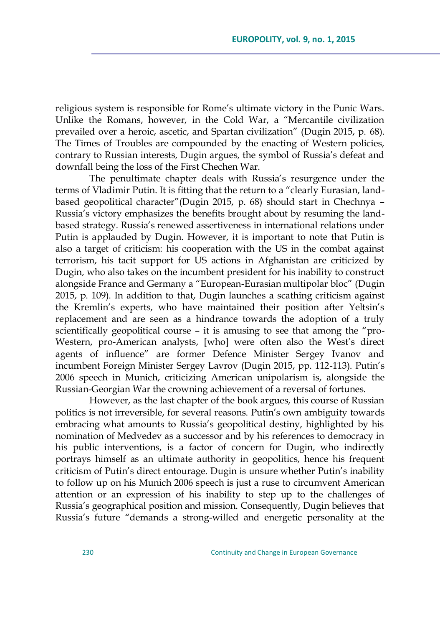religious system is responsible for Rome's ultimate victory in the Punic Wars. Unlike the Romans, however, in the Cold War, a "Mercantile civilization prevailed over a heroic, ascetic, and Spartan civilization" (Dugin 2015, p. 68). The Times of Troubles are compounded by the enacting of Western policies, contrary to Russian interests, Dugin argues, the symbol of Russia's defeat and downfall being the loss of the First Chechen War.

The penultimate chapter deals with Russia's resurgence under the terms of Vladimir Putin. It is fitting that the return to a "clearly Eurasian, landbased geopolitical character"(Dugin 2015, p. 68) should start in Chechnya – Russia's victory emphasizes the benefits brought about by resuming the landbased strategy. Russia's renewed assertiveness in international relations under Putin is applauded by Dugin. However, it is important to note that Putin is also a target of criticism: his cooperation with the US in the combat against terrorism, his tacit support for US actions in Afghanistan are criticized by Dugin, who also takes on the incumbent president for his inability to construct alongside France and Germany a "European-Eurasian multipolar bloc" (Dugin 2015, p. 109). In addition to that, Dugin launches a scathing criticism against the Kremlin's experts, who have maintained their position after Yeltsin's replacement and are seen as a hindrance towards the adoption of a truly scientifically geopolitical course – it is amusing to see that among the "pro-Western, pro-American analysts, [who] were often also the West's direct agents of influence" are former Defence Minister Sergey Ivanov and incumbent Foreign Minister Sergey Lavrov (Dugin 2015, pp. 112-113). Putin's 2006 speech in Munich, criticizing American unipolarism is, alongside the Russian-Georgian War the crowning achievement of a reversal of fortunes.

However, as the last chapter of the book argues, this course of Russian politics is not irreversible, for several reasons. Putin's own ambiguity towards embracing what amounts to Russia's geopolitical destiny, highlighted by his nomination of Medvedev as a successor and by his references to democracy in his public interventions, is a factor of concern for Dugin, who indirectly portrays himself as an ultimate authority in geopolitics, hence his frequent criticism of Putin's direct entourage. Dugin is unsure whether Putin's inability to follow up on his Munich 2006 speech is just a ruse to circumvent American attention or an expression of his inability to step up to the challenges of Russia's geographical position and mission. Consequently, Dugin believes that Russia's future "demands a strong-willed and energetic personality at the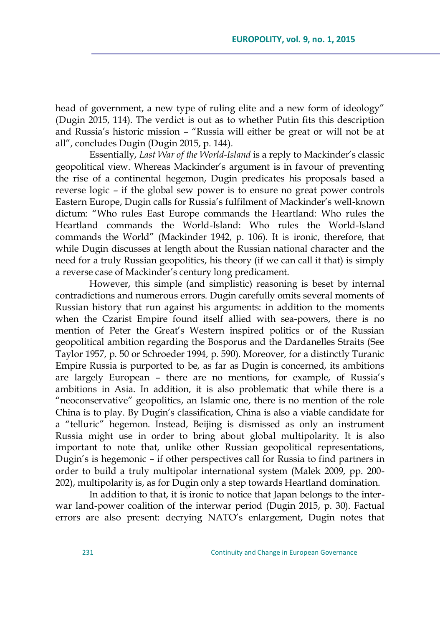head of government, a new type of ruling elite and a new form of ideology" (Dugin 2015, 114). The verdict is out as to whether Putin fits this description and Russia's historic mission - "Russia will either be great or will not be at all", concludes Dugin (Dugin 2015, p. 144).

Essentially, *Last War of the World-Island* is a reply to Mackinder's classic geopolitical view. Whereas Mackinder's argument is in favour of preventing the rise of a continental hegemon, Dugin predicates his proposals based a reverse logic – if the global sew power is to ensure no great power controls Eastern Europe, Dugin calls for Russia's fulfilment of Mackinder's well-known dictum: "Who rules East Europe commands the Heartland: Who rules the Heartland commands the World-Island: Who rules the World-Island commands the World" (Mackinder 1942, p. 106). It is ironic, therefore, that while Dugin discusses at length about the Russian national character and the need for a truly Russian geopolitics, his theory (if we can call it that) is simply a reverse case of Mackinder's century long predicament.

However, this simple (and simplistic) reasoning is beset by internal contradictions and numerous errors. Dugin carefully omits several moments of Russian history that run against his arguments: in addition to the moments when the Czarist Empire found itself allied with sea-powers, there is no mention of Peter the Great's Western inspired politics or of the Russian geopolitical ambition regarding the Bosporus and the Dardanelles Straits (See Taylor 1957, p. 50 or Schroeder 1994, p. 590). Moreover, for a distinctly Turanic Empire Russia is purported to be, as far as Dugin is concerned, its ambitions are largely European – there are no mentions, for example, of Russia's ambitions in Asia. In addition, it is also problematic that while there is a ―neoconservative‖ geopolitics, an Islamic one, there is no mention of the role China is to play. By Dugin's classification, China is also a viable candidate for a "telluric" hegemon. Instead, Beijing is dismissed as only an instrument Russia might use in order to bring about global multipolarity. It is also important to note that, unlike other Russian geopolitical representations, Dugin's is hegemonic – if other perspectives call for Russia to find partners in order to build a truly multipolar international system (Malek 2009, pp. 200- 202), multipolarity is, as for Dugin only a step towards Heartland domination.

In addition to that, it is ironic to notice that Japan belongs to the interwar land-power coalition of the interwar period (Dugin 2015, p. 30). Factual errors are also present: decrying NATO's enlargement, Dugin notes that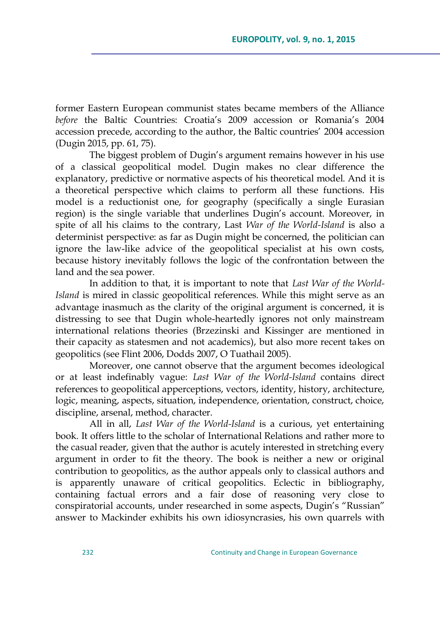former Eastern European communist states became members of the Alliance *before* the Baltic Countries: Croatia's 2009 accession or Romania's 2004 accession precede, according to the author, the Baltic countries' 2004 accession (Dugin 2015, pp. 61, 75).

The biggest problem of Dugin's argument remains however in his use of a classical geopolitical model. Dugin makes no clear difference the explanatory, predictive or normative aspects of his theoretical model. And it is a theoretical perspective which claims to perform all these functions. His model is a reductionist one, for geography (specifically a single Eurasian region) is the single variable that underlines Dugin's account. Moreover, in spite of all his claims to the contrary, Last *War of the World-Island* is also a determinist perspective: as far as Dugin might be concerned, the politician can ignore the law-like advice of the geopolitical specialist at his own costs, because history inevitably follows the logic of the confrontation between the land and the sea power.

In addition to that, it is important to note that *Last War of the World-Island* is mired in classic geopolitical references. While this might serve as an advantage inasmuch as the clarity of the original argument is concerned, it is distressing to see that Dugin whole-heartedly ignores not only mainstream international relations theories (Brzezinski and Kissinger are mentioned in their capacity as statesmen and not academics), but also more recent takes on geopolitics (see Flint 2006, Dodds 2007, O Tuathail 2005).

Moreover, one cannot observe that the argument becomes ideological or at least indefinably vague: *Last War of the World-Island* contains direct references to geopolitical apperceptions, vectors, identity, history, architecture, logic, meaning, aspects, situation, independence, orientation, construct, choice, discipline, arsenal, method, character.

All in all, *Last War of the World-Island* is a curious, yet entertaining book. It offers little to the scholar of International Relations and rather more to the casual reader, given that the author is acutely interested in stretching every argument in order to fit the theory. The book is neither a new or original contribution to geopolitics, as the author appeals only to classical authors and is apparently unaware of critical geopolitics. Eclectic in bibliography, containing factual errors and a fair dose of reasoning very close to conspiratorial accounts, under researched in some aspects, Dugin's "Russian" answer to Mackinder exhibits his own idiosyncrasies, his own quarrels with